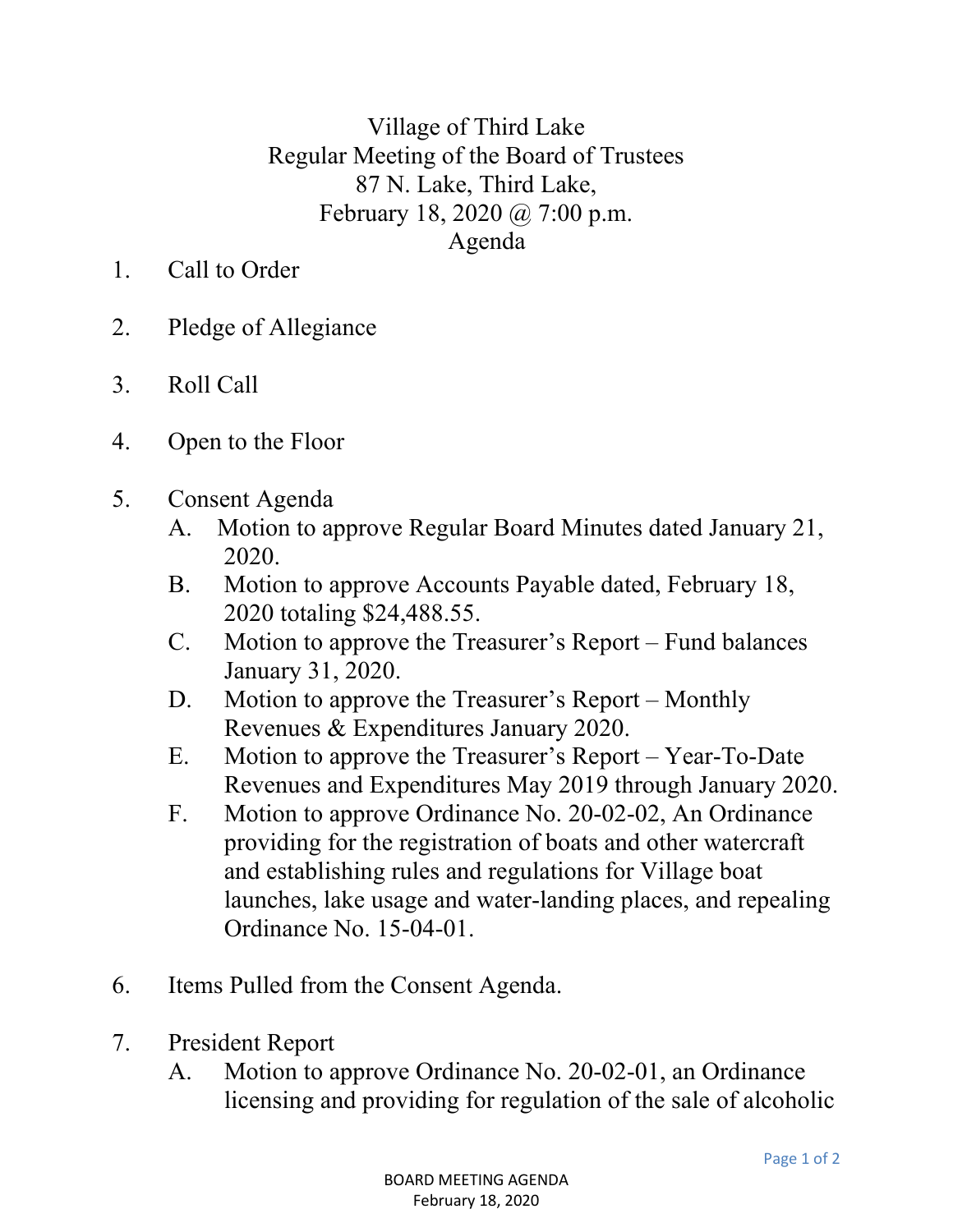Village of Third Lake Regular Meeting of the Board of Trustees 87 N. Lake, Third Lake, February 18, 2020 @ 7:00 p.m. Agenda

- 1. Call to Order
- 2. Pledge of Allegiance
- 3. Roll Call
- 4. Open to the Floor
- 5. Consent Agenda
	- A. Motion to approve Regular Board Minutes dated January 21, 2020.
	- B. Motion to approve Accounts Payable dated, February 18, 2020 totaling \$24,488.55.
	- C. Motion to approve the Treasurer's Report Fund balances January 31, 2020.
	- D. Motion to approve the Treasurer's Report Monthly Revenues & Expenditures January 2020.
	- E. Motion to approve the Treasurer's Report Year-To-Date Revenues and Expenditures May 2019 through January 2020.
	- F. Motion to approve Ordinance No. 20-02-02, An Ordinance providing for the registration of boats and other watercraft and establishing rules and regulations for Village boat launches, lake usage and water-landing places, and repealing Ordinance No. 15-04-01.
- 6. Items Pulled from the Consent Agenda.
- 7. President Report
	- A. Motion to approve Ordinance No. 20-02-01, an Ordinance licensing and providing for regulation of the sale of alcoholic